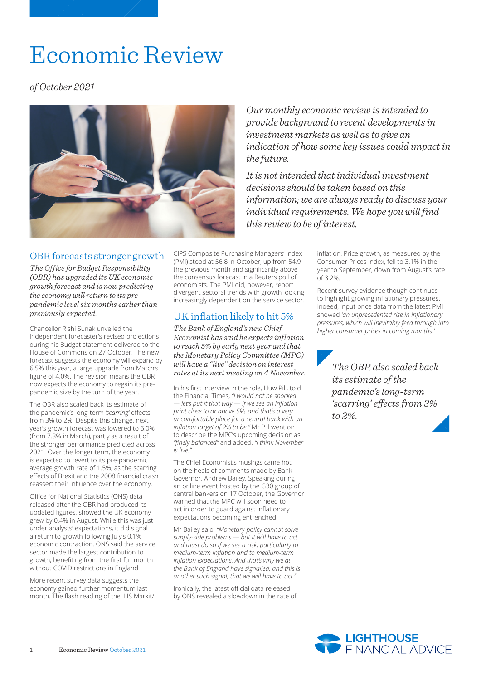# Economic Review

*of October 2021*



*Our monthly economic review is intended to provide background to recent developments in investment markets as well as to give an indication of how some key issues could impact in the future.*

*It is not intended that individual investment decisions should be taken based on this information; we are always ready to discuss your individual requirements. We hope you will find this review to be of interest.*

#### OBR forecasts stronger growth

*The Office for Budget Responsibility (OBR) has upgraded its UK economic growth forecast and is now predicting the economy will return to its prepandemic level six months earlier than previously expected.*

Chancellor Rishi Sunak unveiled the independent forecaster's revised projections during his Budget statement delivered to the House of Commons on 27 October. The new forecast suggests the economy will expand by 6.5% this year, a large upgrade from March's figure of 4.0%. The revision means the OBR now expects the economy to regain its prepandemic size by the turn of the year.

The OBR also scaled back its estimate of the pandemic's long-term *'scarring'* effects from 3% to 2%. Despite this change, next year's growth forecast was lowered to 6.0% (from 7.3% in March), partly as a result of the stronger performance predicted across 2021. Over the longer term, the economy is expected to revert to its pre-pandemic average growth rate of 1.5%, as the scarring effects of Brexit and the 2008 financial crash reassert their influence over the economy.

Office for National Statistics (ONS) data released after the OBR had produced its updated figures, showed the UK economy grew by 0.4% in August. While this was just under analysts' expectations, it did signal a return to growth following July's 0.1% economic contraction. ONS said the service sector made the largest contribution to growth, benefiting from the first full month without COVID restrictions in England.

More recent survey data suggests the economy gained further momentum last month. The flash reading of the IHS Markit/ CIPS Composite Purchasing Managers' Index (PMI) stood at 56.8 in October, up from 54.9 the previous month and significantly above the consensus forecast in a Reuters poll of economists. The PMI did, however, report divergent sectoral trends with growth looking increasingly dependent on the service sector.

## UK inflation likely to hit 5%

*The Bank of England's new Chief Economist has said he expects inflation to reach 5% by early next year and that the Monetary Policy Committee (MPC) will have a "live" decision on interest rates at its next meeting on 4 November.*

In his first interview in the role, Huw Pill, told the Financial Times, *"I would not be shocked — let's put it that way — if we see an inflation print close to or above 5%, and that's a very uncomfortable place for a central bank with an inflation target of 2% to be."* Mr Pill went on to describe the MPC's upcoming decision as *"finely balanced"* and added, *"I think November is live."* 

The Chief Economist's musings came hot on the heels of comments made by Bank Governor, Andrew Bailey. Speaking during an online event hosted by the G30 group of central bankers on 17 October, the Governor warned that the MPC will soon need to act in order to guard against inflationary expectations becoming entrenched.

Mr Bailey said, *"Monetary policy cannot solve supply-side problems — but it will have to act and must do so if we see a risk, particularly to medium-term inflation and to medium-term inflation expectations. And that's why we at the Bank of England have signalled, and this is another such signal, that we will have to act."*

Ironically, the latest official data released by ONS revealed a slowdown in the rate of

inflation. Price growth, as measured by the Consumer Prices Index, fell to 3.1% in the year to September, down from August's rate of 3.2%.

Recent survey evidence though continues to highlight growing inflationary pressures. Indeed, input price data from the latest PMI showed *'an unprecedented rise in inflationary pressures, which will inevitably feed through into higher consumer prices in coming months.'*

> *The OBR also scaled back its estimate of the pandemic's long-term 'scarring' effects from 3% to 2%.*